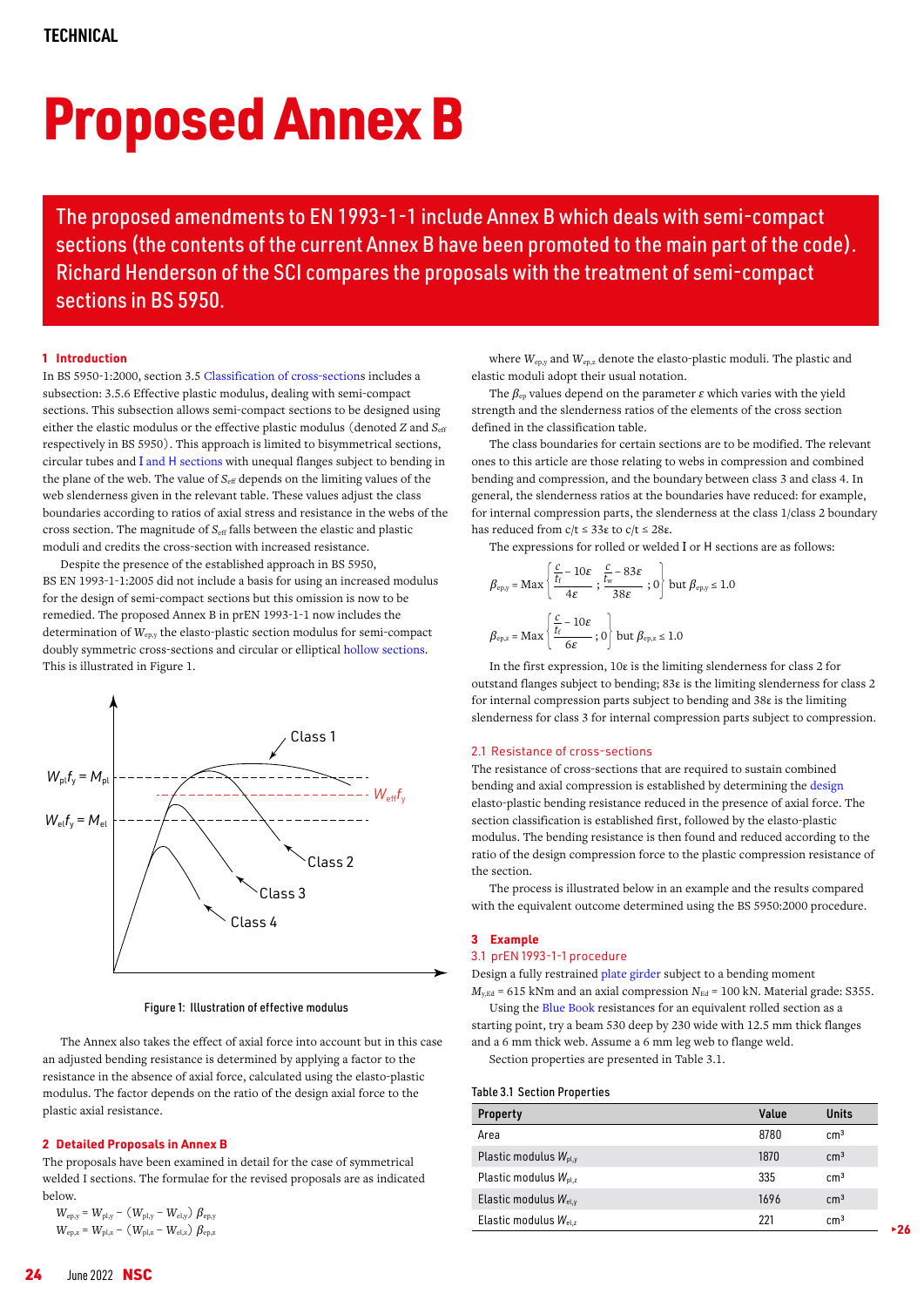# Proposed Annex B

The proposed amendments to EN 1993-1-1 include Annex B which deals with semi-compact sections (the contents of the current Annex B have been promoted to the main part of the code). Richard Henderson of the SCI compares the proposals with the treatment of semi-compact sections in BS 5950.

## **1 Introduction**

In BS 5950-1:2000, section 3.[5 Classification of cross-section](https://www.steelconstruction.info/Member_design#Classification_of_cross_sections)s includes a subsection: 3.5.6 Effective plastic modulus, dealing with semi-compact sections. This subsection allows semi-compact sections to be designed using either the elastic modulus or the effective plastic modulus (denoted *Z* and *S*<sub>eff</sub> respectively in BS 5950). This approach is limited to bisymmetrical sections, circular tubes and I and H [sections](https://www.steelconstruction.info/Steel_construction_products#Standard_open_sections) with unequal flanges subject to bending in the plane of the web. The value of *S*<sub>eff</sub> depends on the limiting values of the web slenderness given in the relevant table. These values adjust the class boundaries according to ratios of axial stress and resistance in the webs of the cross section. The magnitude of *S<sub>eff</sub>* falls between the elastic and plastic moduli and credits the cross-section with increased resistance.

Despite the presence of the established approach in BS 5950, BS EN 1993-1-1:2005 did not include a basis for using an increased modulus for the design of semi-compact sections but this omission is now to be remedied. The proposed Annex B in prEN 1993-1-1 now includes the determination of *W*ep,y the elasto-plastic section modulus for semi-compact doubly symmetric cross-sections and circular or elliptical [hollow sections.](https://www.steelconstruction.info/Steel_construction_products#Structural_hollow_sections) This is illustrated in Figure 1.



Figure 1: Illustration of effective modulus

The Annex also takes the effect of axial force into account but in this case an adjusted bending resistance is determined by applying a factor to the resistance in the absence of axial force, calculated using the elasto-plastic modulus. The factor depends on the ratio of the design axial force to the plastic axial resistance.

### **2 Detailed Proposals in Annex B**

The proposals have been examined in detail for the case of symmetrical welded I sections. The formulae for the revised proposals are as indicated below.

$$
W_{\rm ep,y} = W_{\rm pl,y} - (W_{\rm pl,y} - W_{\rm el,y}) \beta_{\rm ep,y}
$$
  

$$
W_{\rm ep,z} = W_{\rm pl,z} - (W_{\rm pl,z} - W_{\rm el,z}) \beta_{\rm ep,z}
$$

where *W*ep,y and *W*ep,z denote the elasto-plastic moduli. The plastic and elastic moduli adopt their usual notation.

The  $\beta_{\rm ep}$  values depend on the parameter  $\varepsilon$  which varies with the yield strength and the slenderness ratios of the elements of the cross section defined in the classification table.

The class boundaries for certain sections are to be modified. The relevant ones to this article are those relating to webs in compression and combined bending and compression, and the boundary between class 3 and class 4. In general, the slenderness ratios at the boundaries have reduced: for example, for internal compression parts, the slenderness at the class 1/class 2 boundary has reduced from  $c/t$  ≤ 33ε to  $c/t$  ≤ 28ε.

The expressions for rolled or welded I or H sections are as follows:

$$
\beta_{\rm epy} = \text{Max}\left\{\frac{\frac{c}{t_f} - 10\varepsilon}{4\varepsilon}; \frac{\frac{c}{t_w} - 83\varepsilon}{38\varepsilon}; 0\right\} \text{ but } \beta_{\rm epy} \le 1.0
$$

$$
\beta_{\rm epz} = \text{Max}\left\{\frac{\frac{c}{t_f} - 10\varepsilon}{6\varepsilon}; 0\right\} \text{ but } \beta_{\rm epz} \le 1.0
$$

In the first expression, 10ε is the limiting slenderness for class 2 for outstand flanges subject to bending; 83ε is the limiting slenderness for class 2 for internal compression parts subject to bending and 38ε is the limiting slenderness for class 3 for internal compression parts subject to compression.

#### 2.1 Resistance of cross-sections

The resistance of cross-sections that are required to sustain combined bending and axial compression is established by determining the [design](https://www.steelconstruction.info/Design) elasto-plastic bending resistance reduced in the presence of axial force. The section classification is established first, followed by the elasto-plastic modulus. The bending resistance is then found and reduced according to the ratio of the design compression force to the plastic compression resistance of the section.

The process is illustrated below in an example and the results compared with the equivalent outcome determined using the BS 5950:2000 procedure.

## **3 Example**

# 3.1 prEN 1993-1-1 procedure

Design a fully restrained [plate girder](https://www.steelconstruction.info/Steel_construction_products#Plate_girders) subject to a bending moment  $M_{y,Ed}$  = 615 kNm and an axial compression  $N_{Ed}$  = 100 kN. Material grade: S355.

Using the [Blue Book](https://steelconstruction.info/The_Blue_Book) resistances for an equivalent rolled section as a starting point, try a beam 530 deep by 230 wide with 12.5 mm thick flanges and a 6 mm thick web. Assume a 6 mm leg web to flange weld.

Section properties are presented in Table 3.1.

#### Table 3.1 Section Properties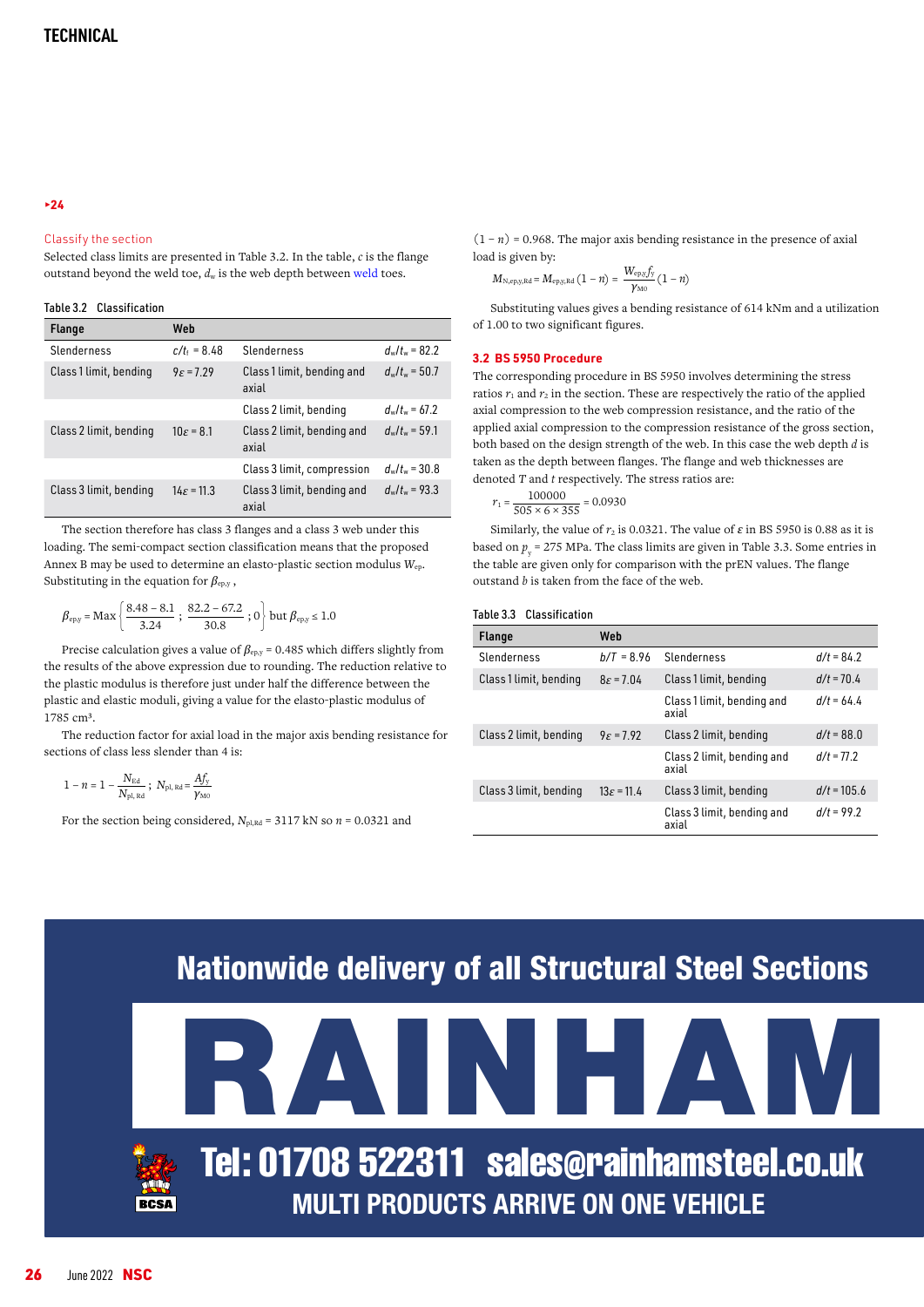## Classify the section

Selected class limits are presented in Table 3.2. In the table, *c* is the flange outstand beyond the weld toe, *d*w is the web depth between [weld t](https://www.steelconstruction.info/Welding)oes.

|  | Table 3.2 Classification |
|--|--------------------------|
|--|--------------------------|

| <b>Flange</b>          | Web                    |                                     |                      |
|------------------------|------------------------|-------------------------------------|----------------------|
| Slenderness            | $c/t_1 = 8.48$         | Slenderness                         | $d_{w}/t_{w}$ = 82.2 |
| Class 1 limit, bending | $9\varepsilon$ = 7.29  | Class 1 limit, bending and<br>axial | $d_{w}/t_{w}$ = 50.7 |
|                        |                        | Class 2 limit, bending              | $d_{w}/t_{w}$ = 67.2 |
| Class 2 limit, bending | $10\varepsilon = 8.1$  | Class 2 limit, bending and<br>axial | $d_{w}/t_{w}$ = 59.1 |
|                        |                        | Class 3 limit, compression          | $d_{w}/t_{w}$ = 30.8 |
| Class 3 limit, bending | $14\varepsilon = 11.3$ | Class 3 limit, bending and<br>axial | $d_{w}/t_{w}$ = 93.3 |

The section therefore has class 3 flanges and a class 3 web under this loading. The semi-compact section classification means that the proposed Annex B may be used to determine an elasto-plastic section modulus *W*ep. Substituting in the equation for *β*ep,y ,

$$
\beta_{\rm epy} = \text{Max}\left\{\frac{8.48 - 8.1}{3.24} \ ; \ \frac{82.2 - 67.2}{30.8} \ ; \ 0\right\} \text{but } \beta_{\rm epy} \le 1.0
$$

Precise calculation gives a value of  $β_{ep,y}$  = 0.485 which differs slightly from the results of the above expression due to rounding. The reduction relative to the plastic modulus is therefore just under half the difference between the plastic and elastic moduli, giving a value for the elasto-plastic modulus of 1785 cm<sup>3</sup>.

The reduction factor for axial load in the major axis bending resistance for sections of class less slender than 4 is:

$$
1-n=1-\frac{N_{\rm Ed}}{N_{\rm pl,\,Rd}}\;;\;\,N_{\rm pl,\,Rd}\!=\!\frac{A f_{\rm y}}{\gamma_{\rm M0}}
$$

For the section being considered,  $N_{\text{pl,Rd}} = 3117 \text{ kN}$  so  $n = 0.0321$  and

 $(1 - n) = 0.968$ . The major axis bending resistance in the presence of axial load is given by:

$$
M_{\rm N, ep,y,Rd}=M_{\rm ep,y,Rd}\left(1-\mathcal{n}\right)=\frac{W_{\rm ep,y}f_{\rm y}}{\gamma_{\rm M0}}\left(1-\mathcal{n}\right)
$$

Substituting values gives a bending resistance of 614 kNm and a utilization of 1.00 to two significant figures.

## **3.2 BS 5950 Procedure**

The corresponding procedure in BS 5950 involves determining the stress ratios  $r_1$  and  $r_2$  in the section. These are respectively the ratio of the applied axial compression to the web compression resistance, and the ratio of the applied axial compression to the compression resistance of the gross section, both based on the design strength of the web. In this case the web depth *d* is taken as the depth between flanges. The flange and web thicknesses are denoted *T* and *t* respectively. The stress ratios are:

$$
r_1 = \frac{100000}{505 \times 6 \times 355} = 0.0930
$$

Similarly, the value of  $r_2$  is 0.0321. The value of  $\varepsilon$  in BS 5950 is 0.88 as it is based on  $p_{y}$  = 275 MPa. The class limits are given in Table 3.3. Some entries in the table are given only for comparison with the prEN values. The flange outstand *b* is taken from the face of the web.

| <b>Flange</b>          | Web                    |                                     |               |
|------------------------|------------------------|-------------------------------------|---------------|
| Slenderness            | $b/T = 8.96$           | Slenderness                         | $d/t = 84.2$  |
| Class 1 limit, bending | $8\varepsilon$ = 7.04  | Class 1 limit, bending              | $d/t = 70.4$  |
|                        |                        | Class 1 limit, bending and<br>axial | $d/t = 64.4$  |
| Class 2 limit, bending | $9\varepsilon$ = 7.92  | Class 2 limit, bending              | $d/t = 88.0$  |
|                        |                        | Class 2 limit, bending and<br>axial | $d/t = 77.2$  |
| Class 3 limit, bending | $13\varepsilon = 11.4$ | Class 3 limit, bending              | $d/t = 105.6$ |
|                        |                        | Class 3 limit, bending and<br>axial | $d/t = 99.2$  |